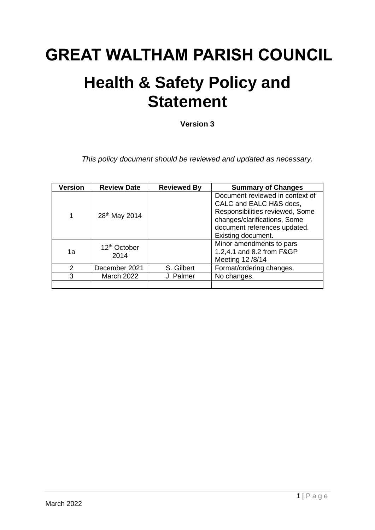# **GREAT WALTHAM PARISH COUNCIL**

## **Health & Safety Policy and Statement**

**Version 3**

*This policy document should be reviewed and updated as necessary.*

| <b>Version</b> | <b>Review Date</b>               | <b>Reviewed By</b> | <b>Summary of Changes</b>                                                                                                                                                           |
|----------------|----------------------------------|--------------------|-------------------------------------------------------------------------------------------------------------------------------------------------------------------------------------|
| 1              | 28 <sup>th</sup> May 2014        |                    | Document reviewed in context of<br>CALC and EALC H&S docs,<br>Responsibilities reviewed, Some<br>changes/clarifications, Some<br>document references updated.<br>Existing document. |
| 1a             | 12 <sup>th</sup> October<br>2014 |                    | Minor amendments to pars<br>1.2,4.1 and 8.2 from F&GP<br>Meeting 12 /8/14                                                                                                           |
| $\mathcal{P}$  | December 2021                    | S. Gilbert         | Format/ordering changes.                                                                                                                                                            |
| 3              | <b>March 2022</b>                | J. Palmer          | No changes.                                                                                                                                                                         |
|                |                                  |                    |                                                                                                                                                                                     |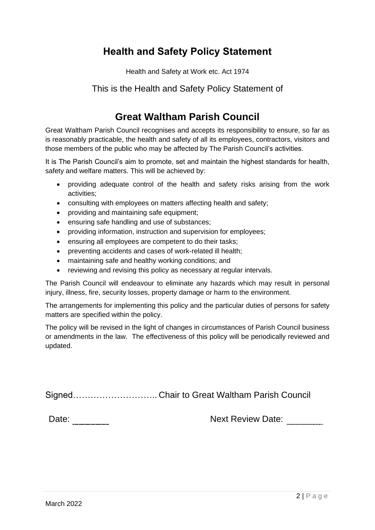## **Health and Safety Policy Statement**

Health and Safety at Work etc. Act 1974

### This is the Health and Safety Policy Statement of

### **Great Waltham Parish Council**

Great Waltham Parish Council recognises and accepts its responsibility to ensure, so far as is reasonably practicable, the health and safety of all its employees, contractors, visitors and those members of the public who may be affected by The Parish Council's activities.

It is The Parish Council's aim to promote, set and maintain the highest standards for health, safety and welfare matters. This will be achieved by:

- providing adequate control of the health and safety risks arising from the work activities;
- consulting with employees on matters affecting health and safety;
- providing and maintaining safe equipment;
- ensuring safe handling and use of substances;
- providing information, instruction and supervision for employees:
- ensuring all employees are competent to do their tasks;
- preventing accidents and cases of work-related ill health;
- maintaining safe and healthy working conditions; and
- reviewing and revising this policy as necessary at regular intervals.

The Parish Council will endeavour to eliminate any hazards which may result in personal injury, illness, fire, security losses, property damage or harm to the environment.

The arrangements for implementing this policy and the particular duties of persons for safety matters are specified within the policy.

The policy will be revised in the light of changes in circumstances of Parish Council business or amendments in the law. The effectiveness of this policy will be periodically reviewed and updated.

Signed……………………….. Chair to Great Waltham Parish Council

Date: Date: Next Review Date: 2014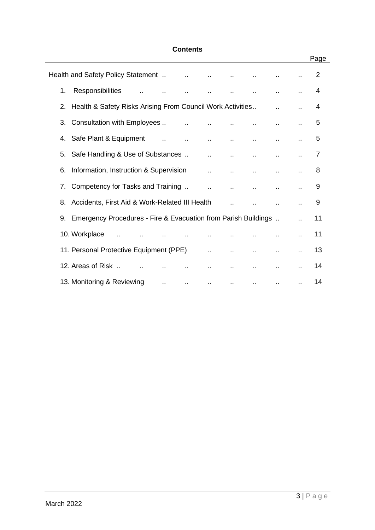#### **Contents**

|    | Health and Safety Policy Statement  Theory is a meta-             |        |            |                             | $\mathbf{r}$ .       |           |           | 2  |
|----|-------------------------------------------------------------------|--------|------------|-----------------------------|----------------------|-----------|-----------|----|
| 1. | Responsibilities                                                  |        | $\sim 100$ |                             |                      |           |           | 4  |
|    | 2. Health & Safety Risks Arising From Council Work Activities     |        |            |                             |                      |           |           | 4  |
|    | 3. Consultation with Employees                                    |        |            | $\sim 100$                  | $\ddot{\phantom{a}}$ |           |           | 5  |
|    |                                                                   |        |            | $\sim 100$                  | $\sim 100$           | $\ddotsc$ |           | 5  |
|    | 5. Safe Handling & Use of Substances                              |        |            | $\mathbf{r}$ , $\mathbf{r}$ |                      |           |           | 7  |
| 6. | Information, Instruction & Supervision                            |        |            |                             | $\ddotsc$            | $\ddotsc$ |           | 8  |
|    | 7. Competency for Tasks and Training                              |        |            | $\mathcal{L}_{\mathcal{A}}$ |                      |           |           | 9  |
|    | 8. Accidents, First Aid & Work-Related III Health                 |        |            |                             |                      |           |           | 9  |
|    | 9. Emergency Procedures - Fire & Evacuation from Parish Buildings |        |            |                             |                      |           |           | 11 |
|    | 10. Workplace                                                     |        |            |                             |                      |           |           | 11 |
|    | 11. Personal Protective Equipment (PPE)                           |        |            | $\sim 100$                  | $\mathbf{u}$         |           |           | 13 |
|    | 12. Areas of Risk<br>$\mathbf{r}$ .                               |        |            |                             |                      |           |           | 14 |
|    | 13. Monitoring & Reviewing                                        | $\sim$ | $\sim$     | $\cdot$ .                   | <b>ARCHITECT</b>     | $\cdot$ . | $\cdot$ . | 14 |

Page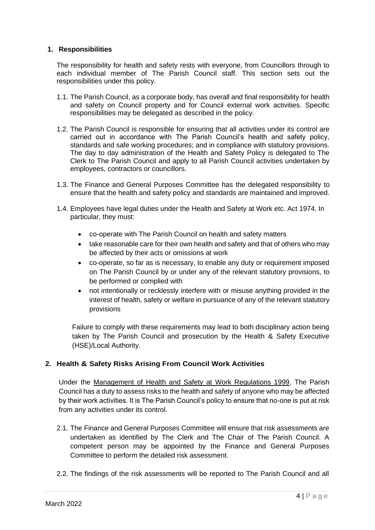#### **1. Responsibilities**

The responsibility for health and safety rests with everyone, from Councillors through to each individual member of The Parish Council staff. This section sets out the responsibilities under this policy.

- 1.1. The Parish Council, as a corporate body, has overall and final responsibility for health and safety on Council property and for Council external work activities. Specific responsibilities may be delegated as described in the policy.
- 1.2. The Parish Council is responsible for ensuring that all activities under its control are carried out in accordance with The Parish Council's health and safety policy, standards and safe working procedures; and in compliance with statutory provisions. The day to day administration of the Health and Safety Policy is delegated to The Clerk to The Parish Council and apply to all Parish Council activities undertaken by employees, contractors or councillors.
- 1.3. The Finance and General Purposes Committee has the delegated responsibility to ensure that the health and safety policy and standards are maintained and improved.
- 1.4. Employees have legal duties under the Health and Safety at Work etc. Act 1974. In particular, they must:
	- co-operate with The Parish Council on health and safety matters
	- take reasonable care for their own health and safety and that of others who may be affected by their acts or omissions at work
	- co-operate, so far as is necessary, to enable any duty or requirement imposed on The Parish Council by or under any of the relevant statutory provisions, to be performed or complied with
	- not intentionally or recklessly interfere with or misuse anything provided in the interest of health, safety or welfare in pursuance of any of the relevant statutory provisions

Failure to comply with these requirements may lead to both disciplinary action being taken by The Parish Council and prosecution by the Health & Safety Executive (HSE)/Local Authority.

#### **2. Health & Safety Risks Arising From Council Work Activities**

Under the Management of Health and Safety at Work Regulations 1999, The Parish Council has a duty to assess risks to the health and safety of anyone who may be affected by their work activities. It is The Parish Council's policy to ensure that no-one is put at risk from any activities under its control.

- 2.1. The Finance and General Purposes Committee will ensure that risk assessments are undertaken as identified by The Clerk and The Chair of The Parish Council. A competent person may be appointed by the Finance and General Purposes Committee to perform the detailed risk assessment.
- 2.2. The findings of the risk assessments will be reported to The Parish Council and all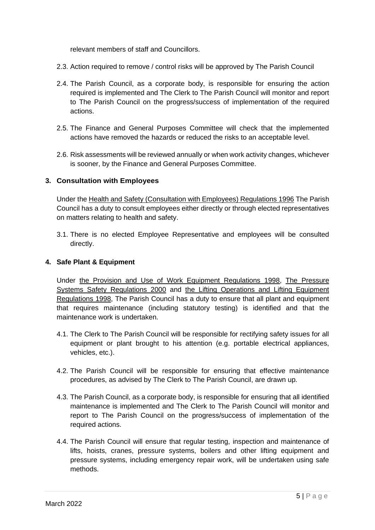relevant members of staff and Councillors.

- 2.3. Action required to remove / control risks will be approved by The Parish Council
- 2.4. The Parish Council, as a corporate body, is responsible for ensuring the action required is implemented and The Clerk to The Parish Council will monitor and report to The Parish Council on the progress/success of implementation of the required actions.
- 2.5. The Finance and General Purposes Committee will check that the implemented actions have removed the hazards or reduced the risks to an acceptable level.
- 2.6. Risk assessments will be reviewed annually or when work activity changes, whichever is sooner, by the Finance and General Purposes Committee.

#### **3. Consultation with Employees**

Under the Health and Safety (Consultation with Employees) Regulations 1996 The Parish Council has a duty to consult employees either directly or through elected representatives on matters relating to health and safety.

3.1. There is no elected Employee Representative and employees will be consulted directly.

#### **4. Safe Plant & Equipment**

Under the Provision and Use of Work Equipment Regulations 1998, The Pressure Systems Safety Regulations 2000 and the Lifting Operations and Lifting Equipment Regulations 1998, The Parish Council has a duty to ensure that all plant and equipment that requires maintenance (including statutory testing) is identified and that the maintenance work is undertaken.

- 4.1. The Clerk to The Parish Council will be responsible for rectifying safety issues for all equipment or plant brought to his attention (e.g. portable electrical appliances, vehicles, etc.).
- 4.2. The Parish Council will be responsible for ensuring that effective maintenance procedures, as advised by The Clerk to The Parish Council, are drawn up.
- 4.3. The Parish Council, as a corporate body, is responsible for ensuring that all identified maintenance is implemented and The Clerk to The Parish Council will monitor and report to The Parish Council on the progress/success of implementation of the required actions.
- 4.4. The Parish Council will ensure that regular testing, inspection and maintenance of lifts, hoists, cranes, pressure systems, boilers and other lifting equipment and pressure systems, including emergency repair work, will be undertaken using safe methods.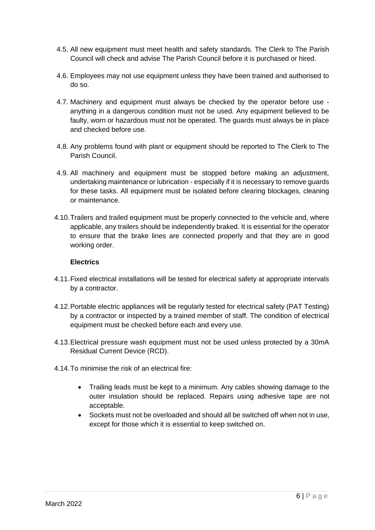- 4.5. All new equipment must meet health and safety standards. The Clerk to The Parish Council will check and advise The Parish Council before it is purchased or hired.
- 4.6. Employees may not use equipment unless they have been trained and authorised to do so.
- 4.7. Machinery and equipment must always be checked by the operator before use anything in a dangerous condition must not be used. Any equipment believed to be faulty, worn or hazardous must not be operated. The guards must always be in place and checked before use.
- 4.8. Any problems found with plant or equipment should be reported to The Clerk to The Parish Council.
- 4.9. All machinery and equipment must be stopped before making an adjustment, undertaking maintenance or lubrication - especially if it is necessary to remove guards for these tasks. All equipment must be isolated before clearing blockages, cleaning or maintenance.
- 4.10.Trailers and trailed equipment must be properly connected to the vehicle and, where applicable, any trailers should be independently braked. It is essential for the operator to ensure that the brake lines are connected properly and that they are in good working order.

#### **Electrics**

- 4.11.Fixed electrical installations will be tested for electrical safety at appropriate intervals by a contractor.
- 4.12.Portable electric appliances will be regularly tested for electrical safety (PAT Testing) by a contractor or inspected by a trained member of staff. The condition of electrical equipment must be checked before each and every use.
- 4.13.Electrical pressure wash equipment must not be used unless protected by a 30mA Residual Current Device (RCD).
- 4.14.To minimise the risk of an electrical fire:
	- Trailing leads must be kept to a minimum. Any cables showing damage to the outer insulation should be replaced. Repairs using adhesive tape are not acceptable.
	- Sockets must not be overloaded and should all be switched off when not in use. except for those which it is essential to keep switched on.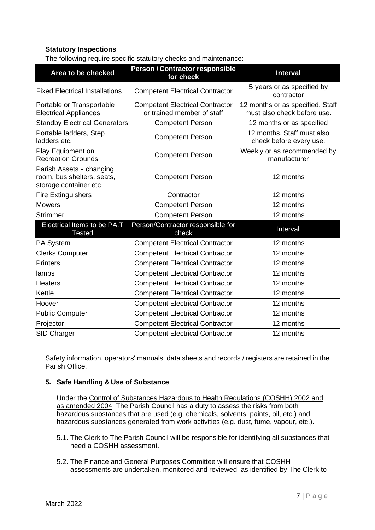#### **Statutory Inspections**

The following require specific statutory checks and maintenance:

| Area to be checked                                                              | Person / Contractor responsible<br>for check                         | <b>Interval</b>                                                 |  |  |  |
|---------------------------------------------------------------------------------|----------------------------------------------------------------------|-----------------------------------------------------------------|--|--|--|
| <b>Fixed Electrical Installations</b>                                           | <b>Competent Electrical Contractor</b>                               | 5 years or as specified by<br>contractor                        |  |  |  |
| Portable or Transportable<br><b>Electrical Appliances</b>                       | <b>Competent Electrical Contractor</b><br>or trained member of staff | 12 months or as specified. Staff<br>must also check before use. |  |  |  |
| <b>Standby Electrical Generators</b>                                            | <b>Competent Person</b>                                              | 12 months or as specified                                       |  |  |  |
| Portable ladders, Step<br>ladders etc.                                          | <b>Competent Person</b>                                              | 12 months. Staff must also<br>check before every use.           |  |  |  |
| Play Equipment on<br><b>Recreation Grounds</b>                                  | <b>Competent Person</b>                                              | Weekly or as recommended by<br>manufacturer                     |  |  |  |
| Parish Assets - changing<br>room, bus shelters, seats,<br>storage container etc | <b>Competent Person</b>                                              | 12 months                                                       |  |  |  |
| <b>Fire Extinguishers</b>                                                       | Contractor                                                           | 12 months                                                       |  |  |  |
| <b>Mowers</b>                                                                   | <b>Competent Person</b>                                              | 12 months                                                       |  |  |  |
| <b>Strimmer</b>                                                                 | <b>Competent Person</b>                                              | 12 months                                                       |  |  |  |
| Electrical Items to be PA.T<br><b>Tested</b>                                    | Person/Contractor responsible for<br>check                           | Interval                                                        |  |  |  |
| PA System                                                                       | <b>Competent Electrical Contractor</b>                               | 12 months                                                       |  |  |  |
| <b>Clerks Computer</b>                                                          | <b>Competent Electrical Contractor</b>                               | 12 months                                                       |  |  |  |
| <b>Printers</b>                                                                 | <b>Competent Electrical Contractor</b>                               | 12 months                                                       |  |  |  |
| lamps                                                                           | <b>Competent Electrical Contractor</b>                               | 12 months                                                       |  |  |  |
| <b>Heaters</b>                                                                  | <b>Competent Electrical Contractor</b>                               | 12 months                                                       |  |  |  |
| Kettle                                                                          | <b>Competent Electrical Contractor</b>                               | 12 months                                                       |  |  |  |
| Hoover                                                                          | <b>Competent Electrical Contractor</b>                               | 12 months                                                       |  |  |  |
| <b>Public Computer</b>                                                          | <b>Competent Electrical Contractor</b>                               | 12 months                                                       |  |  |  |
| Projector                                                                       | <b>Competent Electrical Contractor</b>                               | 12 months                                                       |  |  |  |
| SID Charger                                                                     | <b>Competent Electrical Contractor</b>                               | 12 months                                                       |  |  |  |

Safety information, operators' manuals, data sheets and records / registers are retained in the Parish Office.

#### **5. Safe Handling & Use of Substance**

Under the Control of Substances Hazardous to Health Regulations (COSHH) 2002 and as amended 2004, The Parish Council has a duty to assess the risks from both hazardous substances that are used (e.g. chemicals, solvents, paints, oil, etc.) and hazardous substances generated from work activities (e.g. dust, fume, vapour, etc.).

- 5.1. The Clerk to The Parish Council will be responsible for identifying all substances that need a COSHH assessment.
- 5.2. The Finance and General Purposes Committee will ensure that COSHH assessments are undertaken, monitored and reviewed, as identified by The Clerk to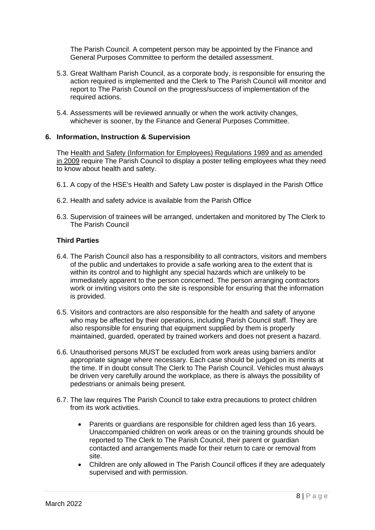The Parish Council. A competent person may be appointed by the Finance and General Purposes Committee to perform the detailed assessment.

- 5.3. Great Waltham Parish Council, as a corporate body, is responsible for ensuring the action required is implemented and the Clerk to The Parish Council will monitor and report to The Parish Council on the progress/success of implementation of the required actions.
- 5.4. Assessments will be reviewed annually or when the work activity changes, whichever is sooner, by the Finance and General Purposes Committee.

#### **6. Information, Instruction & Supervision**

The Health and Safety (Information for Employees) Regulations 1989 and as amended in 2009 require The Parish Council to display a poster telling employees what they need to know about health and safety.

- 6.1. A copy of the HSE's Health and Safety Law poster is displayed in the Parish Office
- 6.2. Health and safety advice is available from the Parish Office
- 6.3. Supervision of trainees will be arranged, undertaken and monitored by The Clerk to The Parish Council

#### **Third Parties**

- 6.4. The Parish Council also has a responsibility to all contractors, visitors and members of the public and undertakes to provide a safe working area to the extent that is within its control and to highlight any special hazards which are unlikely to be immediately apparent to the person concerned. The person arranging contractors work or inviting visitors onto the site is responsible for ensuring that the information is provided.
- 6.5. Visitors and contractors are also responsible for the health and safety of anyone who may be affected by their operations, including Parish Council staff. They are also responsible for ensuring that equipment supplied by them is properly maintained, guarded, operated by trained workers and does not present a hazard.
- 6.6. Unauthorised persons MUST be excluded from work areas using barriers and/or appropriate signage where necessary. Each case should be judged on its merits at the time. If in doubt consult The Clerk to The Parish Council. Vehicles must always be driven very carefully around the workplace, as there is always the possibility of pedestrians or animals being present.
- 6.7. The law requires The Parish Council to take extra precautions to protect children from its work activities.
	- Parents or guardians are responsible for children aged less than 16 years. Unaccompanied children on work areas or on the training grounds should be reported to The Clerk to The Parish Council, their parent or guardian contacted and arrangements made for their return to care or removal from site.
	- Children are only allowed in The Parish Council offices if they are adequately supervised and with permission.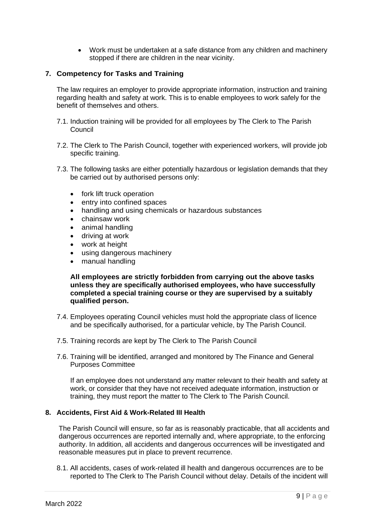• Work must be undertaken at a safe distance from any children and machinery stopped if there are children in the near vicinity.

#### **7. Competency for Tasks and Training**

The law requires an employer to provide appropriate information, instruction and training regarding health and safety at work. This is to enable employees to work safely for the benefit of themselves and others.

- 7.1. Induction training will be provided for all employees by The Clerk to The Parish Council
- 7.2. The Clerk to The Parish Council, together with experienced workers, will provide job specific training.
- 7.3. The following tasks are either potentially hazardous or legislation demands that they be carried out by authorised persons only:
	- fork lift truck operation
	- entry into confined spaces
	- handling and using chemicals or hazardous substances
	- chainsaw work
	- animal handling
	- driving at work
	- work at height
	- using dangerous machinery
	- manual handling

**All employees are strictly forbidden from carrying out the above tasks unless they are specifically authorised employees, who have successfully completed a special training course or they are supervised by a suitably qualified person.**

- 7.4. Employees operating Council vehicles must hold the appropriate class of licence and be specifically authorised, for a particular vehicle, by The Parish Council.
- 7.5. Training records are kept by The Clerk to The Parish Council
- 7.6. Training will be identified, arranged and monitored by The Finance and General Purposes Committee

If an employee does not understand any matter relevant to their health and safety at work, or consider that they have not received adequate information, instruction or training, they must report the matter to The Clerk to The Parish Council.

#### **8. Accidents, First Aid & Work-Related III Health**

The Parish Council will ensure, so far as is reasonably practicable, that all accidents and dangerous occurrences are reported internally and, where appropriate, to the enforcing authority. In addition, all accidents and dangerous occurrences will be investigated and reasonable measures put in place to prevent recurrence.

8.1. All accidents, cases of work-related ill health and dangerous occurrences are to be reported to The Clerk to The Parish Council without delay. Details of the incident will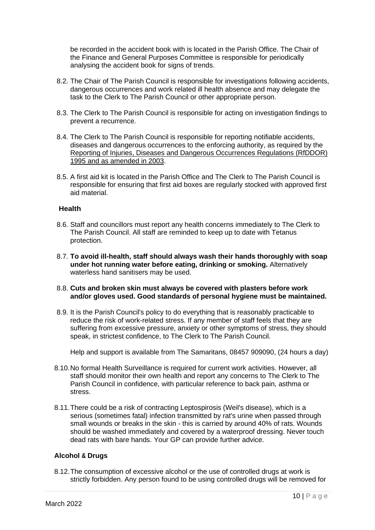be recorded in the accident book with is located in the Parish Office. The Chair of the Finance and General Purposes Committee is responsible for periodically analysing the accident book for signs of trends.

- 8.2. The Chair of The Parish Council is responsible for investigations following accidents, dangerous occurrences and work related ill health absence and may delegate the task to the Clerk to The Parish Council or other appropriate person.
- 8.3. The Clerk to The Parish Council is responsible for acting on investigation findings to prevent a recurrence.
- 8.4. The Clerk to The Parish Council is responsible for reporting notifiable accidents, diseases and dangerous occurrences to the enforcing authority, as required by the Reporting of Injuries, Diseases and Dangerous Occurrences Regulations (RfDDOR) 1995 and as amended in 2003.
- 8.5. A first aid kit is located in the Parish Office and The Clerk to The Parish Council is responsible for ensuring that first aid boxes are regularly stocked with approved first aid material.

#### **Health**

- 8.6. Staff and councillors must report any health concerns immediately to The Clerk to The Parish Council. All staff are reminded to keep up to date with Tetanus protection.
- 8.7. **To avoid ill-health, staff should always wash their hands thoroughly with soap under hot running water before eating, drinking or smoking.** Alternatively waterless hand sanitisers may be used.
- 8.8. **Cuts and broken skin must always be covered with plasters before work and/or gloves used. Good standards of personal hygiene must be maintained.**
- 8.9. It is the Parish Council's policy to do everything that is reasonably practicable to reduce the risk of work-related stress. If any member of staff feels that they are suffering from excessive pressure, anxiety or other symptoms of stress, they should speak, in strictest confidence, to The Clerk to The Parish Council.

Help and support is available from The Samaritans, 08457 909090, (24 hours a day)

- 8.10.No formal Health Surveillance is required for current work activities. However, all staff should monitor their own health and report any concerns to The Clerk to The Parish Council in confidence, with particular reference to back pain, asthma or stress.
- 8.11.There could be a risk of contracting Leptospirosis (Weil's disease), which is a serious (sometimes fatal) infection transmitted by rat's urine when passed through small wounds or breaks in the skin - this is carried by around 40% of rats. Wounds should be washed immediately and covered by a waterproof dressing. Never touch dead rats with bare hands. Your GP can provide further advice.

#### **Alcohol & Drugs**

8.12.The consumption of excessive alcohol or the use of controlled drugs at work is strictly forbidden. Any person found to be using controlled drugs will be removed for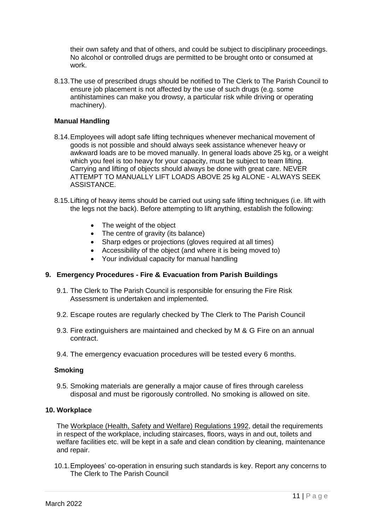their own safety and that of others, and could be subject to disciplinary proceedings. No alcohol or controlled drugs are permitted to be brought onto or consumed at work.

8.13.The use of prescribed drugs should be notified to The Clerk to The Parish Council to ensure job placement is not affected by the use of such drugs (e.g. some antihistamines can make you drowsy, a particular risk while driving or operating machinery).

#### **Manual Handling**

- 8.14.Employees will adopt safe lifting techniques whenever mechanical movement of goods is not possible and should always seek assistance whenever heavy or awkward loads are to be moved manually. In general loads above 25 kg, or a weight which you feel is too heavy for your capacity, must be subject to team lifting. Carrying and lifting of objects should always be done with great care. NEVER ATTEMPT TO MANUALLY LIFT LOADS ABOVE 25 kg ALONE - ALWAYS SEEK ASSISTANCE.
- 8.15.Lifting of heavy items should be carried out using safe lifting techniques (i.e. lift with the legs not the back). Before attempting to lift anything, establish the following:
	- The weight of the object
	- The centre of gravity (its balance)
	- Sharp edges or projections (gloves required at all times)
	- Accessibility of the object (and where it is being moved to)
	- Your individual capacity for manual handling

#### **9. Emergency Procedures - Fire & Evacuation from Parish Buildings**

- 9.1. The Clerk to The Parish Council is responsible for ensuring the Fire Risk Assessment is undertaken and implemented.
- 9.2. Escape routes are regularly checked by The Clerk to The Parish Council
- 9.3. Fire extinguishers are maintained and checked by M & G Fire on an annual contract.
- 9.4. The emergency evacuation procedures will be tested every 6 months.

#### **Smoking**

9.5. Smoking materials are generally a major cause of fires through careless disposal and must be rigorously controlled. No smoking is allowed on site.

#### **10. Workplace**

The Workplace (Health, Safety and Welfare) Regulations 1992, detail the requirements in respect of the workplace, including staircases, floors, ways in and out, toilets and welfare facilities etc. will be kept in a safe and clean condition by cleaning, maintenance and repair.

10.1.Employees' co-operation in ensuring such standards is key. Report any concerns to The Clerk to The Parish Council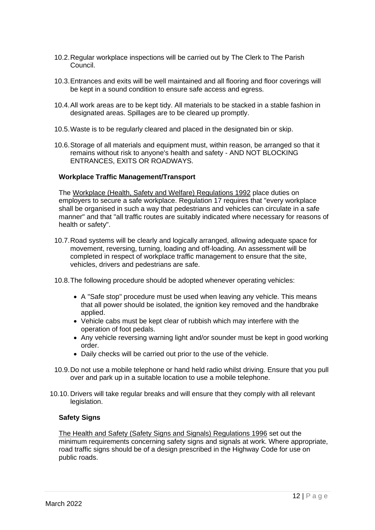- 10.2.Regular workplace inspections will be carried out by The Clerk to The Parish Council.
- 10.3.Entrances and exits will be well maintained and all flooring and floor coverings will be kept in a sound condition to ensure safe access and egress.
- 10.4.All work areas are to be kept tidy. All materials to be stacked in a stable fashion in designated areas. Spillages are to be cleared up promptly.
- 10.5.Waste is to be regularly cleared and placed in the designated bin or skip.
- 10.6.Storage of all materials and equipment must, within reason, be arranged so that it remains without risk to anyone's health and safety - AND NOT BLOCKING ENTRANCES, EXITS OR ROADWAYS.

#### **Workplace Traffic Management/Transport**

The Workplace (Health, Safety and Welfare) Regulations 1992 place duties on employers to secure a safe workplace. Regulation 17 requires that "every workplace shall be organised in such a way that pedestrians and vehicles can circulate in a safe manner" and that "all traffic routes are suitably indicated where necessary for reasons of health or safety".

- 10.7.Road systems will be clearly and logically arranged, allowing adequate space for movement, reversing, turning, loading and off-loading. An assessment will be completed in respect of workplace traffic management to ensure that the site, vehicles, drivers and pedestrians are safe.
- 10.8.The following procedure should be adopted whenever operating vehicles:
	- A "Safe stop" procedure must be used when leaving any vehicle. This means that all power should be isolated, the ignition key removed and the handbrake applied.
	- Vehicle cabs must be kept clear of rubbish which may interfere with the operation of foot pedals.
	- Any vehicle reversing warning light and/or sounder must be kept in good working order.
	- Daily checks will be carried out prior to the use of the vehicle.
- 10.9.Do not use a mobile telephone or hand held radio whilst driving. Ensure that you pull over and park up in a suitable location to use a mobile telephone.
- 10.10. Drivers will take regular breaks and will ensure that they comply with all relevant legislation.

#### **Safety Signs**

The Health and Safety (Safety Signs and Signals) Regulations 1996 set out the minimum requirements concerning safety signs and signals at work. Where appropriate, road traffic signs should be of a design prescribed in the Highway Code for use on public roads.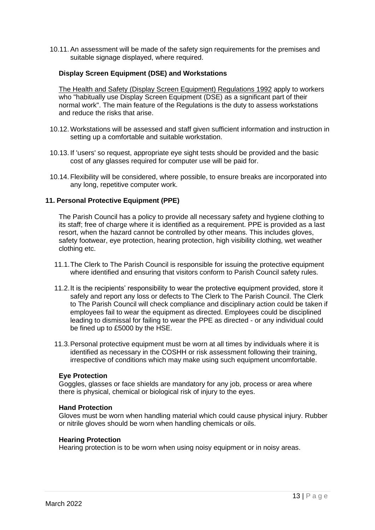10.11. An assessment will be made of the safety sign requirements for the premises and suitable signage displayed, where required.

#### **Display Screen Equipment (DSE) and Workstations**

The Health and Safety (Display Screen Equipment) Regulations 1992 apply to workers who "habitually use Display Screen Equipment (DSE) as a significant part of their normal work". The main feature of the Regulations is the duty to assess workstations and reduce the risks that arise.

- 10.12. Workstations will be assessed and staff given sufficient information and instruction in setting up a comfortable and suitable workstation.
- 10.13. If 'users' so request, appropriate eye sight tests should be provided and the basic cost of any glasses required for computer use will be paid for.
- 10.14. Flexibility will be considered, where possible, to ensure breaks are incorporated into any long, repetitive computer work.

#### **11. Personal Protective Equipment (PPE)**

The Parish Council has a policy to provide all necessary safety and hygiene clothing to its staff; free of charge where it is identified as a requirement. PPE is provided as a last resort, when the hazard cannot be controlled by other means. This includes gloves, safety footwear, eye protection, hearing protection, high visibility clothing, wet weather clothing etc.

- 11.1.The Clerk to The Parish Council is responsible for issuing the protective equipment where identified and ensuring that visitors conform to Parish Council safety rules.
- 11.2.It is the recipients' responsibility to wear the protective equipment provided, store it safely and report any loss or defects to The Clerk to The Parish Council. The Clerk to The Parish Council will check compliance and disciplinary action could be taken if employees fail to wear the equipment as directed. Employees could be disciplined leading to dismissal for failing to wear the PPE as directed - or any individual could be fined up to £5000 by the HSE.
- 11.3.Personal protective equipment must be worn at all times by individuals where it is identified as necessary in the COSHH or risk assessment following their training, irrespective of conditions which may make using such equipment uncomfortable.

#### **Eye Protection**

Goggles, glasses or face shields are mandatory for any job, process or area where there is physical, chemical or biological risk of injury to the eyes.

#### **Hand Protection**

Gloves must be worn when handling material which could cause physical injury. Rubber or nitrile gloves should be worn when handling chemicals or oils.

#### **Hearing Protection**

Hearing protection is to be worn when using noisy equipment or in noisy areas.